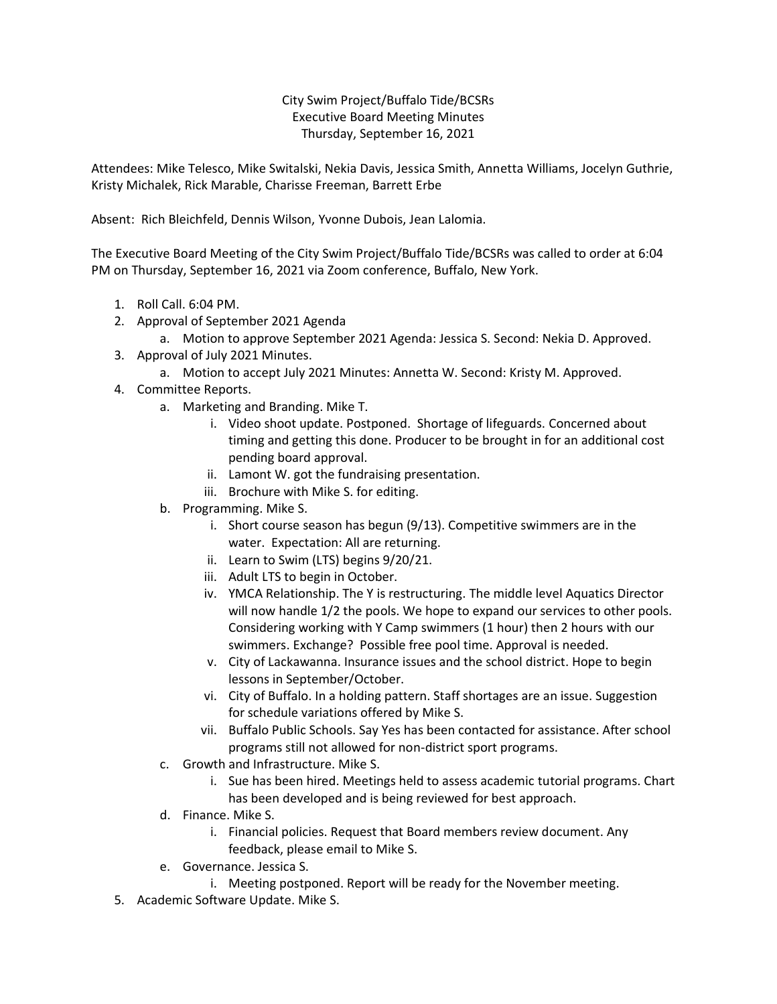City Swim Project/Buffalo Tide/BCSRs Executive Board Meeting Minutes Thursday, September 16, 2021

Attendees: Mike Telesco, Mike Switalski, Nekia Davis, Jessica Smith, Annetta Williams, Jocelyn Guthrie, Kristy Michalek, Rick Marable, Charisse Freeman, Barrett Erbe

Absent: Rich Bleichfeld, Dennis Wilson, Yvonne Dubois, Jean Lalomia.

The Executive Board Meeting of the City Swim Project/Buffalo Tide/BCSRs was called to order at 6:04 PM on Thursday, September 16, 2021 via Zoom conference, Buffalo, New York.

- 1. Roll Call. 6:04 PM.
- 2. Approval of September 2021 Agenda
	- a. Motion to approve September 2021 Agenda: Jessica S. Second: Nekia D. Approved.
- 3. Approval of July 2021 Minutes.
	- a. Motion to accept July 2021 Minutes: Annetta W. Second: Kristy M. Approved.
- 4. Committee Reports.
	- a. Marketing and Branding. Mike T.
		- i. Video shoot update. Postponed. Shortage of lifeguards. Concerned about timing and getting this done. Producer to be brought in for an additional cost pending board approval.
		- ii. Lamont W. got the fundraising presentation.
		- iii. Brochure with Mike S. for editing.
	- b. Programming. Mike S.
		- i. Short course season has begun (9/13). Competitive swimmers are in the water. Expectation: All are returning.
		- ii. Learn to Swim (LTS) begins 9/20/21.
		- iii. Adult LTS to begin in October.
		- iv. YMCA Relationship. The Y is restructuring. The middle level Aquatics Director will now handle 1/2 the pools. We hope to expand our services to other pools. Considering working with Y Camp swimmers (1 hour) then 2 hours with our swimmers. Exchange? Possible free pool time. Approval is needed.
		- v. City of Lackawanna. Insurance issues and the school district. Hope to begin lessons in September/October.
		- vi. City of Buffalo. In a holding pattern. Staff shortages are an issue. Suggestion for schedule variations offered by Mike S.
		- vii. Buffalo Public Schools. Say Yes has been contacted for assistance. After school programs still not allowed for non-district sport programs.
	- c. Growth and Infrastructure. Mike S.
		- i. Sue has been hired. Meetings held to assess academic tutorial programs. Chart has been developed and is being reviewed for best approach.
	- d. Finance. Mike S.
		- i. Financial policies. Request that Board members review document. Any feedback, please email to Mike S.
	- e. Governance. Jessica S.
		- i. Meeting postponed. Report will be ready for the November meeting.
- 5. Academic Software Update. Mike S.